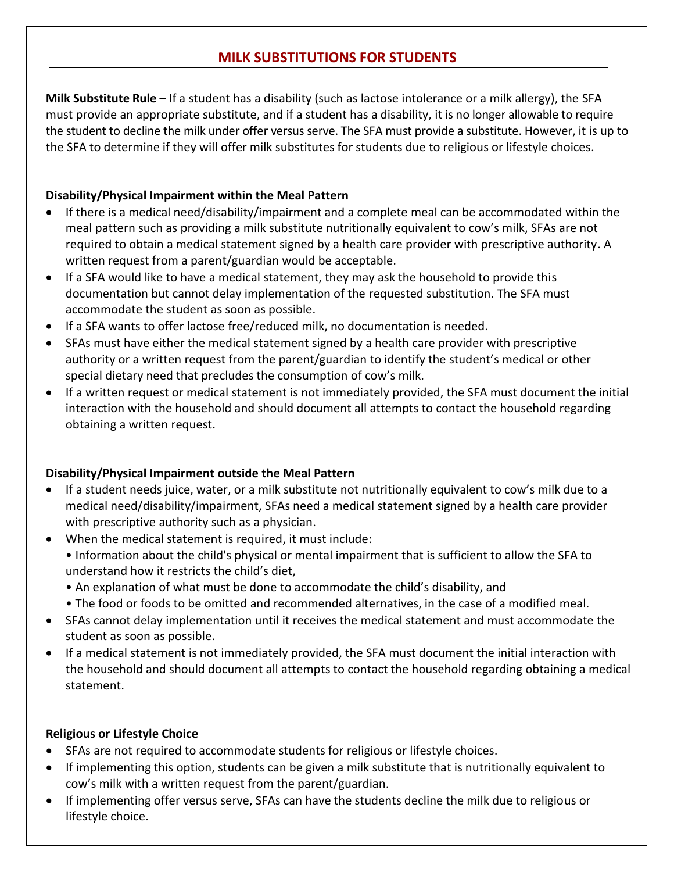# **MILK SUBSTITUTIONS FOR STUDENTS**

**Milk Substitute Rule –** If a student has a disability (such as lactose intolerance or a milk allergy), the SFA must provide an appropriate substitute, and if a student has a disability, it is no longer allowable to require the student to decline the milk under offer versus serve. The SFA must provide a substitute. However, it is up to the SFA to determine if they will offer milk substitutes for students due to religious or lifestyle choices.

### **Disability/Physical Impairment within the Meal Pattern**

- If there is a medical need/disability/impairment and a complete meal can be accommodated within the meal pattern such as providing a milk substitute nutritionally equivalent to cow's milk, SFAs are not required to obtain a medical statement signed by a health care provider with prescriptive authority. A written request from a parent/guardian would be acceptable.
- If a SFA would like to have a medical statement, they may ask the household to provide this documentation but cannot delay implementation of the requested substitution. The SFA must accommodate the student as soon as possible.
- If a SFA wants to offer lactose free/reduced milk, no documentation is needed.
- SFAs must have either the medical statement signed by a health care provider with prescriptive authority or a written request from the parent/guardian to identify the student's medical or other special dietary need that precludes the consumption of cow's milk.
- If a written request or medical statement is not immediately provided, the SFA must document the initial interaction with the household and should document all attempts to contact the household regarding obtaining a written request.

### **Disability/Physical Impairment outside the Meal Pattern**

- If a student needs juice, water, or a milk substitute not nutritionally equivalent to cow's milk due to a medical need/disability/impairment, SFAs need a medical statement signed by a health care provider with prescriptive authority such as a physician.
- When the medical statement is required, it must include:
	- Information about the child's physical or mental impairment that is sufficient to allow the SFA to understand how it restricts the child's diet,
	- An explanation of what must be done to accommodate the child's disability, and
	- The food or foods to be omitted and recommended alternatives, in the case of a modified meal.
- SFAs cannot delay implementation until it receives the medical statement and must accommodate the student as soon as possible.
- If a medical statement is not immediately provided, the SFA must document the initial interaction with the household and should document all attempts to contact the household regarding obtaining a medical statement.

## **Religious or Lifestyle Choice**

- SFAs are not required to accommodate students for religious or lifestyle choices.
- If implementing this option, students can be given a milk substitute that is nutritionally equivalent to cow's milk with a written request from the parent/guardian.
- If implementing offer versus serve, SFAs can have the students decline the milk due to religious or lifestyle choice.